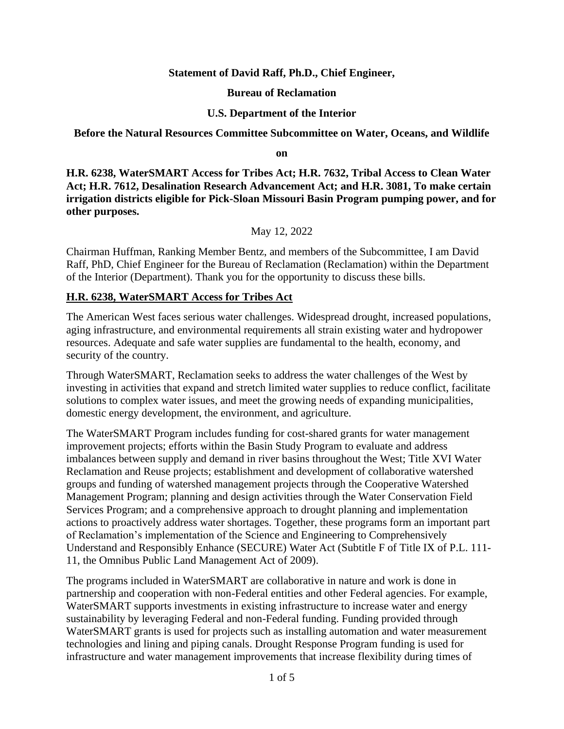### **Statement of David Raff, Ph.D., Chief Engineer,**

#### **Bureau of Reclamation**

### **U.S. Department of the Interior**

#### **Before the Natural Resources Committee Subcommittee on Water, Oceans, and Wildlife**

**on**

**H.R. 6238, WaterSMART Access for Tribes Act; H.R. 7632, Tribal Access to Clean Water Act; H.R. 7612, Desalination Research Advancement Act; and H.R. 3081, To make certain irrigation districts eligible for Pick-Sloan Missouri Basin Program pumping power, and for other purposes.**

May 12, 2022

Chairman Huffman, Ranking Member Bentz, and members of the Subcommittee, I am David Raff, PhD, Chief Engineer for the Bureau of Reclamation (Reclamation) within the Department of the Interior (Department). Thank you for the opportunity to discuss these bills.

### **H.R. 6238, WaterSMART Access for Tribes Act**

The American West faces serious water challenges. Widespread drought, increased populations, aging infrastructure, and environmental requirements all strain existing water and hydropower resources. Adequate and safe water supplies are fundamental to the health, economy, and security of the country.

Through WaterSMART, Reclamation seeks to address the water challenges of the West by investing in activities that expand and stretch limited water supplies to reduce conflict, facilitate solutions to complex water issues, and meet the growing needs of expanding municipalities, domestic energy development, the environment, and agriculture.

The WaterSMART Program includes funding for cost-shared grants for water management improvement projects; efforts within the Basin Study Program to evaluate and address imbalances between supply and demand in river basins throughout the West; Title XVI Water Reclamation and Reuse projects; establishment and development of collaborative watershed groups and funding of watershed management projects through the Cooperative Watershed Management Program; planning and design activities through the Water Conservation Field Services Program; and a comprehensive approach to drought planning and implementation actions to proactively address water shortages. Together, these programs form an important part of Reclamation's implementation of the Science and Engineering to Comprehensively Understand and Responsibly Enhance (SECURE) Water Act (Subtitle F of Title IX of P.L. 111- 11, the Omnibus Public Land Management Act of 2009).

The programs included in WaterSMART are collaborative in nature and work is done in partnership and cooperation with non-Federal entities and other Federal agencies. For example, WaterSMART supports investments in existing infrastructure to increase water and energy sustainability by leveraging Federal and non-Federal funding. Funding provided through WaterSMART grants is used for projects such as installing automation and water measurement technologies and lining and piping canals. Drought Response Program funding is used for infrastructure and water management improvements that increase flexibility during times of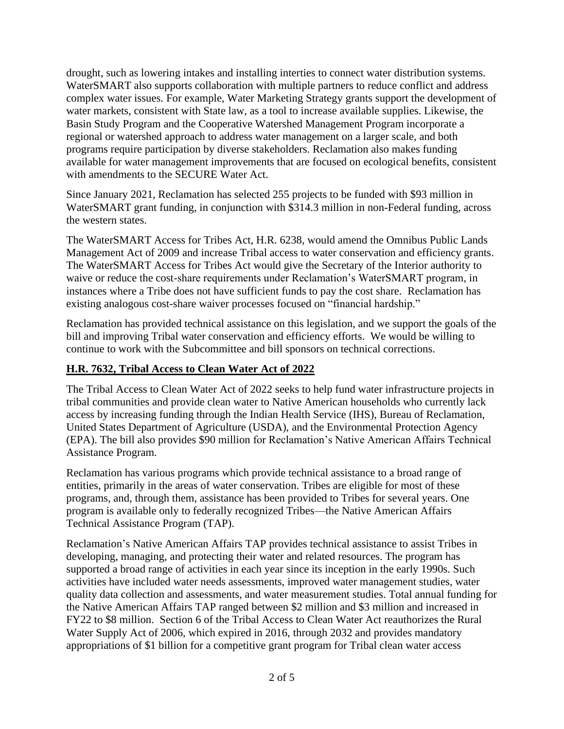drought, such as lowering intakes and installing interties to connect water distribution systems. WaterSMART also supports collaboration with multiple partners to reduce conflict and address complex water issues. For example, Water Marketing Strategy grants support the development of water markets, consistent with State law, as a tool to increase available supplies. Likewise, the Basin Study Program and the Cooperative Watershed Management Program incorporate a regional or watershed approach to address water management on a larger scale, and both programs require participation by diverse stakeholders. Reclamation also makes funding available for water management improvements that are focused on ecological benefits, consistent with amendments to the SECURE Water Act.

Since January 2021, Reclamation has selected 255 projects to be funded with \$93 million in WaterSMART grant funding, in conjunction with \$314.3 million in non-Federal funding, across the western states.

The WaterSMART Access for Tribes Act, H.R. 6238, would amend the Omnibus Public Lands Management Act of 2009 and increase Tribal access to water conservation and efficiency grants. The WaterSMART Access for Tribes Act would give the Secretary of the Interior authority to waive or reduce the cost-share requirements under Reclamation's WaterSMART program, in instances where a Tribe does not have sufficient funds to pay the cost share. Reclamation has existing analogous cost-share waiver processes focused on "financial hardship."

Reclamation has provided technical assistance on this legislation, and we support the goals of the bill and improving Tribal water conservation and efficiency efforts. We would be willing to continue to work with the Subcommittee and bill sponsors on technical corrections.

# **H.R. 7632, Tribal Access to Clean Water Act of 2022**

The Tribal Access to Clean Water Act of 2022 seeks to help fund water infrastructure projects in tribal communities and provide clean water to Native American households who currently lack access by increasing funding through the Indian Health Service (IHS), Bureau of Reclamation, United States Department of Agriculture (USDA), and the Environmental Protection Agency (EPA). The bill also provides \$90 million for Reclamation's Native American Affairs Technical Assistance Program.

Reclamation has various programs which provide technical assistance to a broad range of entities, primarily in the areas of water conservation. Tribes are eligible for most of these programs, and, through them, assistance has been provided to Tribes for several years. One program is available only to federally recognized Tribes—the Native American Affairs Technical Assistance Program (TAP).

Reclamation's Native American Affairs TAP provides technical assistance to assist Tribes in developing, managing, and protecting their water and related resources. The program has supported a broad range of activities in each year since its inception in the early 1990s. Such activities have included water needs assessments, improved water management studies, water quality data collection and assessments, and water measurement studies. Total annual funding for the Native American Affairs TAP ranged between \$2 million and \$3 million and increased in FY22 to \$8 million. Section 6 of the Tribal Access to Clean Water Act reauthorizes the Rural Water Supply Act of 2006, which expired in 2016, through 2032 and provides mandatory appropriations of \$1 billion for a competitive grant program for Tribal clean water access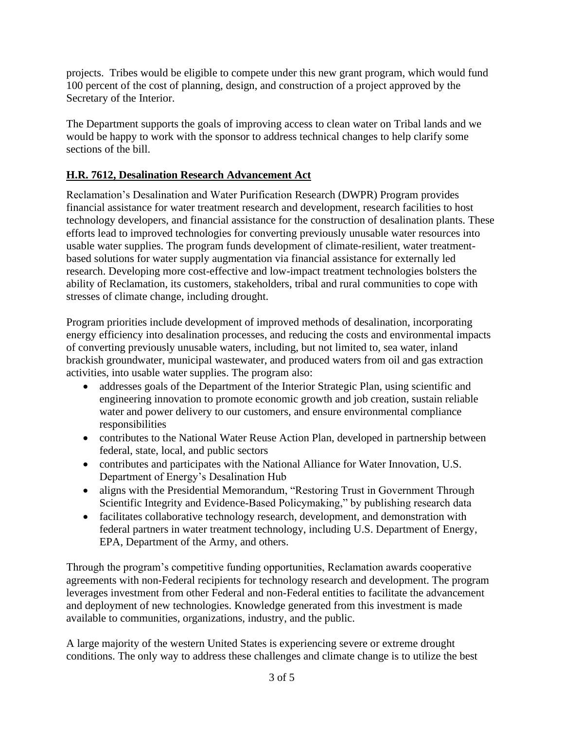projects. Tribes would be eligible to compete under this new grant program, which would fund 100 percent of the cost of planning, design, and construction of a project approved by the Secretary of the Interior.

The Department supports the goals of improving access to clean water on Tribal lands and we would be happy to work with the sponsor to address technical changes to help clarify some sections of the bill.

## **H.R. 7612, Desalination Research Advancement Act**

Reclamation's Desalination and Water Purification Research (DWPR) Program provides financial assistance for water treatment research and development, research facilities to host technology developers, and financial assistance for the construction of desalination plants. These efforts lead to improved technologies for converting previously unusable water resources into usable water supplies. The program funds development of climate-resilient, water treatmentbased solutions for water supply augmentation via financial assistance for externally led research. Developing more cost-effective and low-impact treatment technologies bolsters the ability of Reclamation, its customers, stakeholders, tribal and rural communities to cope with stresses of climate change, including drought.

Program priorities include development of improved methods of desalination, incorporating energy efficiency into desalination processes, and reducing the costs and environmental impacts of converting previously unusable waters, including, but not limited to, sea water, inland brackish groundwater, municipal wastewater, and produced waters from oil and gas extraction activities, into usable water supplies. The program also:

- addresses goals of the Department of the Interior Strategic Plan, using scientific and engineering innovation to promote economic growth and job creation, sustain reliable water and power delivery to our customers, and ensure environmental compliance responsibilities
- contributes to the National Water Reuse Action Plan, developed in partnership between federal, state, local, and public sectors
- contributes and participates with the National Alliance for Water Innovation, U.S. Department of Energy's Desalination Hub
- aligns with the Presidential Memorandum, "Restoring Trust in Government Through Scientific Integrity and Evidence-Based Policymaking," by publishing research data
- facilitates collaborative technology research, development, and demonstration with federal partners in water treatment technology, including U.S. Department of Energy, EPA, Department of the Army, and others.

Through the program's competitive funding opportunities, Reclamation awards cooperative agreements with non-Federal recipients for technology research and development. The program leverages investment from other Federal and non-Federal entities to facilitate the advancement and deployment of new technologies. Knowledge generated from this investment is made available to communities, organizations, industry, and the public.

A large majority of the western United States is experiencing severe or extreme drought conditions. The only way to address these challenges and climate change is to utilize the best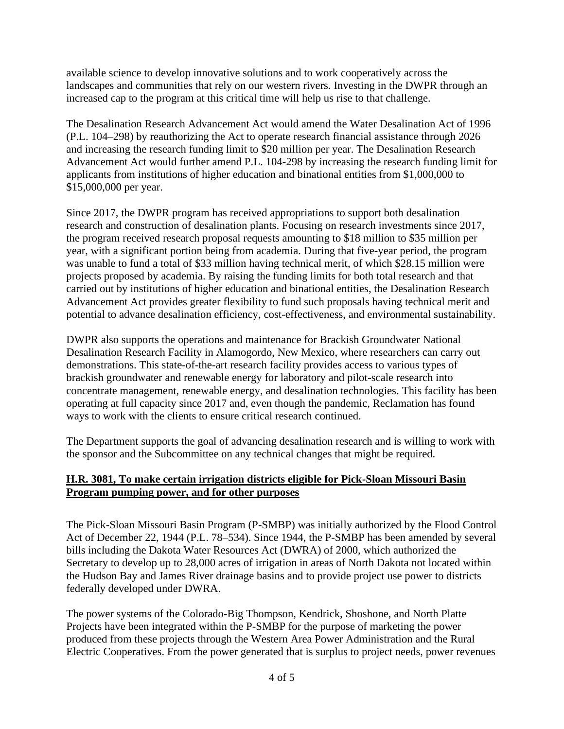available science to develop innovative solutions and to work cooperatively across the landscapes and communities that rely on our western rivers. Investing in the DWPR through an increased cap to the program at this critical time will help us rise to that challenge.

The Desalination Research Advancement Act would amend the Water Desalination Act of 1996 (P.L. 104–298) by reauthorizing the Act to operate research financial assistance through 2026 and increasing the research funding limit to \$20 million per year. The Desalination Research Advancement Act would further amend P.L. 104-298 by increasing the research funding limit for applicants from institutions of higher education and binational entities from \$1,000,000 to \$15,000,000 per year.

Since 2017, the DWPR program has received appropriations to support both desalination research and construction of desalination plants. Focusing on research investments since 2017, the program received research proposal requests amounting to \$18 million to \$35 million per year, with a significant portion being from academia. During that five-year period, the program was unable to fund a total of \$33 million having technical merit, of which \$28.15 million were projects proposed by academia. By raising the funding limits for both total research and that carried out by institutions of higher education and binational entities, the Desalination Research Advancement Act provides greater flexibility to fund such proposals having technical merit and potential to advance desalination efficiency, cost-effectiveness, and environmental sustainability.

DWPR also supports the operations and maintenance for Brackish Groundwater National Desalination Research Facility in Alamogordo, New Mexico, where researchers can carry out demonstrations. This state-of-the-art research facility provides access to various types of brackish groundwater and renewable energy for laboratory and pilot-scale research into concentrate management, renewable energy, and desalination technologies. This facility has been operating at full capacity since 2017 and, even though the pandemic, Reclamation has found ways to work with the clients to ensure critical research continued.

The Department supports the goal of advancing desalination research and is willing to work with the sponsor and the Subcommittee on any technical changes that might be required.

## **H.R. 3081, To make certain irrigation districts eligible for Pick-Sloan Missouri Basin Program pumping power, and for other purposes**

The Pick-Sloan Missouri Basin Program (P-SMBP) was initially authorized by the Flood Control Act of December 22, 1944 (P.L. 78–534). Since 1944, the P-SMBP has been amended by several bills including the Dakota Water Resources Act (DWRA) of 2000, which authorized the Secretary to develop up to 28,000 acres of irrigation in areas of North Dakota not located within the Hudson Bay and James River drainage basins and to provide project use power to districts federally developed under DWRA.

The power systems of the Colorado-Big Thompson, Kendrick, Shoshone, and North Platte Projects have been integrated within the P-SMBP for the purpose of marketing the power produced from these projects through the Western Area Power Administration and the Rural Electric Cooperatives. From the power generated that is surplus to project needs, power revenues